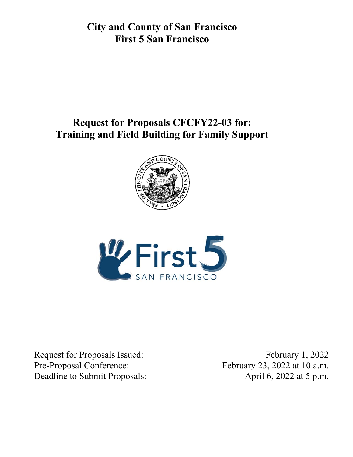**City and County of San Francisco First 5 San Francisco** 

# **Request for Proposals CFCFY22-03 for: Training and Field Building for Family Support**





Request for Proposals Issued: February 1, 2022 Pre-Proposal Conference: February 23, 2022 at 10 a.m. Deadline to Submit Proposals: April 6, 2022 at 5 p.m.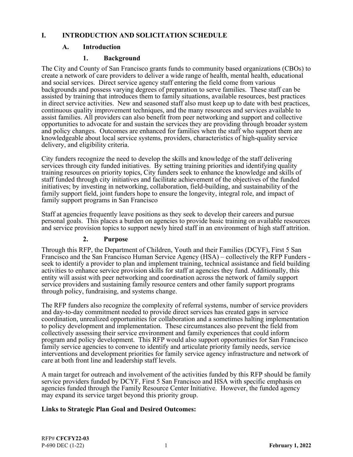#### **I. INTRODUCTION AND SOLICITATION SCHEDULE**

#### **A. Introduction**

#### **1. Background**

The City and County of San Francisco grants funds to community based organizations (CBOs) to create a network of care providers to deliver a wide range of health, mental health, educational and social services. Direct service agency staff entering the field come from various backgrounds and possess varying degrees of preparation to serve families. These staff can be assisted by training that introduces them to family situations, available resources, best practices in direct service activities. New and seasoned staff also must keep up to date with best practices, continuous quality improvement techniques, and the many resources and services available to assist families. All providers can also benefit from peer networking and support and collective opportunities to advocate for and sustain the services they are providing through broader system and policy changes. Outcomes are enhanced for families when the staff who support them are knowledgeable about local service systems, providers, characteristics of high-quality service delivery, and eligibility criteria.

City funders recognize the need to develop the skills and knowledge of the staff delivering services through city funded initiatives. By setting training priorities and identifying quality training resources on priority topics, City funders seek to enhance the knowledge and skills of staff funded through city initiatives and facilitate achievement of the objectives of the funded initiatives; by investing in networking, collaboration, field-building, and sustainability of the family support field, joint funders hope to ensure the longevity, integral role, and impact of family support programs in San Francisco

Staff at agencies frequently leave positions as they seek to develop their careers and pursue personal goals. This places a burden on agencies to provide basic training on available resources and service provision topics to support newly hired staff in an environment of high staff attrition.

#### **2. Purpose**

Through this RFP, the Department of Children, Youth and their Families (DCYF), First 5 San Francisco and the San Francisco Human Service Agency (HSA) – collectively the RFP Funders seek to identify a provider to plan and implement training, technical assistance and field building activities to enhance service provision skills for staff at agencies they fund. Additionally, this entity will assist with peer networking and coordination across the network of family support service providers and sustaining family resource centers and other family support programs through policy, fundraising, and systems change.

The RFP funders also recognize the complexity of referral systems, number of service providers and day-to-day commitment needed to provide direct services has created gaps in service coordination, unrealized opportunities for collaboration and a sometimes halting implementation to policy development and implementation. These circumstances also prevent the field from collectively assessing their service environment and family experiences that could inform program and policy development. This RFP would also support opportunities for San Francisco family service agencies to convene to identify and articulate priority family needs, service interventions and development priorities for family service agency infrastructure and network of care at both front line and leadership staff levels.

A main target for outreach and involvement of the activities funded by this RFP should be family service providers funded by DCYF, First 5 San Francisco and HSA with specific emphasis on agencies funded through the Family Resource Center Initiative. However, the funded agency may expand its service target beyond this priority group.

## **Links to Strategic Plan Goal and Desired Outcomes:**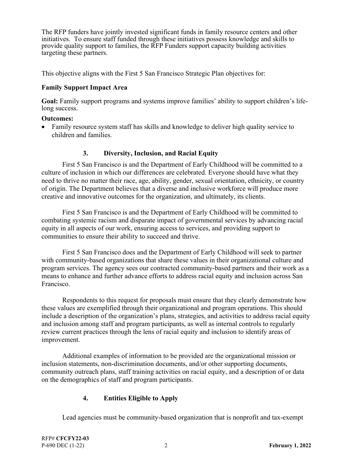The RFP funders have jointly invested significant funds in family resource centers and other initiatives. To ensure staff funded through these initiatives possess knowledge and skills to provide quality support to families, the RFP Funders support capacity building activities targeting these partners.

This objective aligns with the First 5 San Francisco Strategic Plan objectives for:

#### **Family Support Impact Area**

**Goal:** Family support programs and systems improve families' ability to support children's lifelong success.

#### **Outcomes:**

 Family resource system staff has skills and knowledge to deliver high quality service to children and families.

#### **3. Diversity, Inclusion, and Racial Equity**

 First 5 San Francisco is and the Department of Early Childhood will be committed to a culture of inclusion in which our differences are celebrated. Everyone should have what they need to thrive no matter their race, age, ability, gender, sexual orientation, ethnicity, or country of origin. The Department believes that a diverse and inclusive workforce will produce more creative and innovative outcomes for the organization, and ultimately, its clients.

 First 5 San Francisco is and the Department of Early Childhood will be committed to combating systemic racism and disparate impact of governmental services by advancing racial equity in all aspects of our work, ensuring access to services, and providing support to communities to ensure their ability to succeed and thrive.

 First 5 San Francisco does and the Department of Early Childhood will seek to partner with community-based organizations that share these values in their organizational culture and program services. The agency sees our contracted community-based partners and their work as a means to enhance and further advance efforts to address racial equity and inclusion across San Francisco.

 Respondents to this request for proposals must ensure that they clearly demonstrate how these values are exemplified through their organizational and program operations. This should include a description of the organization's plans, strategies, and activities to address racial equity and inclusion among staff and program participants, as well as internal controls to regularly review current practices through the lens of racial equity and inclusion to identify areas of improvement.

 Additional examples of information to be provided are the organizational mission or inclusion statements, non-discrimination documents, and/or other supporting documents, community outreach plans, staff training activities on racial equity, and a description of or data on the demographics of staff and program participants.

#### **4. Entities Eligible to Apply**

Lead agencies must be community-based organization that is nonprofit and tax-exempt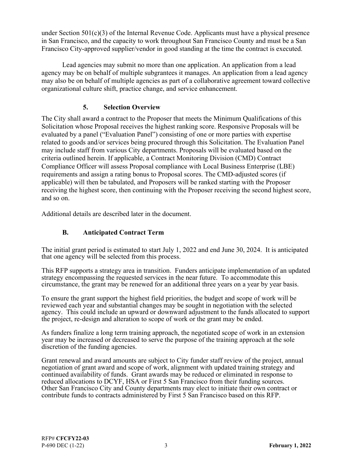under Section  $501(c)(3)$  of the Internal Revenue Code. Applicants must have a physical presence in San Francisco, and the capacity to work throughout San Francisco County and must be a San Francisco City-approved supplier/vendor in good standing at the time the contract is executed.

 Lead agencies may submit no more than one application. An application from a lead agency may be on behalf of multiple subgrantees it manages. An application from a lead agency may also be on behalf of multiple agencies as part of a collaborative agreement toward collective organizational culture shift, practice change, and service enhancement.

#### **5. Selection Overview**

The City shall award a contract to the Proposer that meets the Minimum Qualifications of this Solicitation whose Proposal receives the highest ranking score. Responsive Proposals will be evaluated by a panel ("Evaluation Panel") consisting of one or more parties with expertise related to goods and/or services being procured through this Solicitation. The Evaluation Panel may include staff from various City departments. Proposals will be evaluated based on the criteria outlined herein. If applicable, a Contract Monitoring Division (CMD) Contract Compliance Officer will assess Proposal compliance with Local Business Enterprise (LBE) requirements and assign a rating bonus to Proposal scores. The CMD-adjusted scores (if applicable) will then be tabulated, and Proposers will be ranked starting with the Proposer receiving the highest score, then continuing with the Proposer receiving the second highest score, and so on.

Additional details are described later in the document.

# **B. Anticipated Contract Term**

The initial grant period is estimated to start July 1, 2022 and end June 30, 2024. It is anticipated that one agency will be selected from this process.

This RFP supports a strategy area in transition. Funders anticipate implementation of an updated strategy encompassing the requested services in the near future. To accommodate this circumstance, the grant may be renewed for an additional three years on a year by year basis.

To ensure the grant support the highest field priorities, the budget and scope of work will be reviewed each year and substantial changes may be sought in negotiation with the selected agency. This could include an upward or downward adjustment to the funds allocated to support the project, re-design and alteration to scope of work or the grant may be ended.

As funders finalize a long term training approach, the negotiated scope of work in an extension year may be increased or decreased to serve the purpose of the training approach at the sole discretion of the funding agencies.

Grant renewal and award amounts are subject to City funder staff review of the project, annual negotiation of grant award and scope of work, alignment with updated training strategy and continued availability of funds. Grant awards may be reduced or eliminated in response to reduced allocations to DCYF, HSA or First 5 San Francisco from their funding sources. Other San Francisco City and County departments may elect to initiate their own contract or contribute funds to contracts administered by First 5 San Francisco based on this RFP.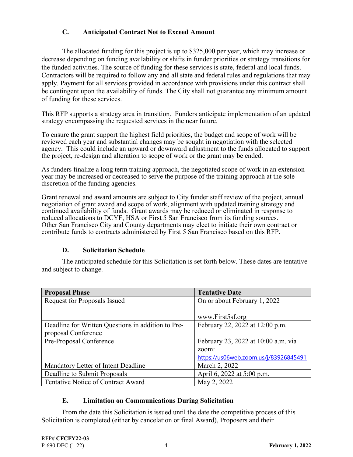## **C. Anticipated Contract Not to Exceed Amount**

 The allocated funding for this project is up to \$325,000 per year, which may increase or decrease depending on funding availability or shifts in funder priorities or strategy transitions for the funded activities. The source of funding for these services is state, federal and local funds. Contractors will be required to follow any and all state and federal rules and regulations that may apply. Payment for all services provided in accordance with provisions under this contract shall be contingent upon the availability of funds. The City shall not guarantee any minimum amount of funding for these services.

This RFP supports a strategy area in transition. Funders anticipate implementation of an updated strategy encompassing the requested services in the near future.

To ensure the grant support the highest field priorities, the budget and scope of work will be reviewed each year and substantial changes may be sought in negotiation with the selected agency. This could include an upward or downward adjustment to the funds allocated to support the project, re-design and alteration to scope of work or the grant may be ended.

As funders finalize a long term training approach, the negotiated scope of work in an extension year may be increased or decreased to serve the purpose of the training approach at the sole discretion of the funding agencies.

Grant renewal and award amounts are subject to City funder staff review of the project, annual negotiation of grant award and scope of work, alignment with updated training strategy and continued availability of funds. Grant awards may be reduced or eliminated in response to reduced allocations to DCYF, HSA or First 5 San Francisco from its funding sources. Other San Francisco City and County departments may elect to initiate their own contract or contribute funds to contracts administered by First 5 San Francisco based on this RFP.

#### **D. Solicitation Schedule**

 The anticipated schedule for this Solicitation is set forth below. These dates are tentative and subject to change.

| <b>Proposal Phase</b>                              | <b>Tentative Date</b>                 |
|----------------------------------------------------|---------------------------------------|
| Request for Proposals Issued                       | On or about February 1, 2022          |
|                                                    |                                       |
|                                                    | www.First5sf.org                      |
| Deadline for Written Questions in addition to Pre- | February 22, 2022 at 12:00 p.m.       |
| proposal Conference                                |                                       |
| Pre-Proposal Conference                            | February 23, 2022 at 10:00 a.m. via   |
|                                                    | zoom:                                 |
|                                                    | https://us06web.zoom.us/j/83926845491 |
| Mandatory Letter of Intent Deadline                | March 2, 2022                         |
| Deadline to Submit Proposals                       | April 6, 2022 at 5:00 p.m.            |
| Tentative Notice of Contract Award                 | May 2, 2022                           |

#### **E. Limitation on Communications During Solicitation**

 From the date this Solicitation is issued until the date the competitive process of this Solicitation is completed (either by cancelation or final Award), Proposers and their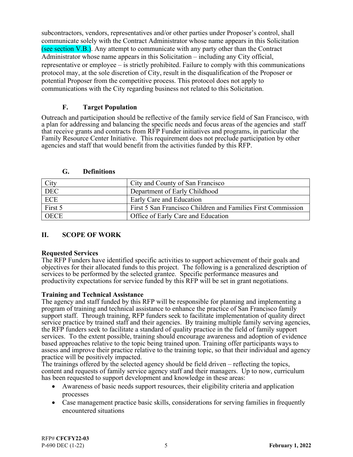subcontractors, vendors, representatives and/or other parties under Proposer's control, shall communicate solely with the Contract Administrator whose name appears in this Solicitation (see section V.B.). Any attempt to communicate with any party other than the Contract Administrator whose name appears in this Solicitation – including any City official, representative or employee – is strictly prohibited. Failure to comply with this communications protocol may, at the sole discretion of City, result in the disqualification of the Proposer or potential Proposer from the competitive process. This protocol does not apply to communications with the City regarding business not related to this Solicitation.

#### **F. Target Population**

Outreach and participation should be reflective of the family service field of San Francisco, with a plan for addressing and balancing the specific needs and focus areas of the agencies and staff that receive grants and contracts from RFP Funder initiatives and programs, in particular the Family Resource Center Initiative. This requirement does not preclude participation by other agencies and staff that would benefit from the activities funded by this RFP.

| City        | City and County of San Francisco                             |
|-------------|--------------------------------------------------------------|
| <b>DEC</b>  | Department of Early Childhood                                |
| ECE         | Early Care and Education                                     |
| First 5     | First 5 San Francisco Children and Families First Commission |
| <b>OECE</b> | Office of Early Care and Education                           |

**G. Definitions** 

## **II. SCOPE OF WORK**

#### **Requested Services**

The RFP Funders have identified specific activities to support achievement of their goals and objectives for their allocated funds to this project. The following is a generalized description of services to be performed by the selected grantee. Specific performance measures and productivity expectations for service funded by this RFP will be set in grant negotiations.

#### **Training and Technical Assistance**

The agency and staff funded by this RFP will be responsible for planning and implementing a program of training and technical assistance to enhance the practice of San Francisco family support staff. Through training, RFP funders seek to facilitate implementation of quality direct service practice by trained staff and their agencies. By training multiple family serving agencies, the RFP funders seek to facilitate a standard of quality practice in the field of family support services. To the extent possible, training should encourage awareness and adoption of evidence based approaches relative to the topic being trained upon. Training offer participants ways to assess and improve their practice relative to the training topic, so that their individual and agency practice will be positively impacted.

The trainings offered by the selected agency should be field driven – reflecting the topics, content and requests of family service agency staff and their managers. Up to now, curriculum has been requested to support development and knowledge in these areas:

- Awareness of basic needs support resources, their eligibility criteria and application processes
- Case management practice basic skills, considerations for serving families in frequently encountered situations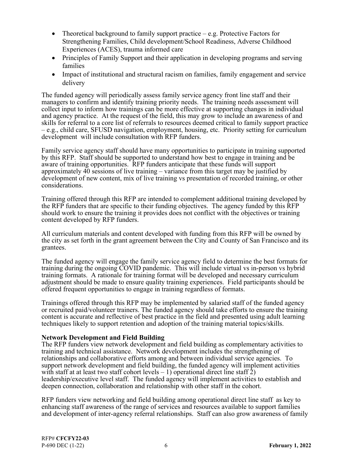- Theoretical background to family support practice  $-e.g.$  Protective Factors for Strengthening Families, Child development/School Readiness, Adverse Childhood Experiences (ACES), trauma informed care
- Principles of Family Support and their application in developing programs and serving families
- Impact of institutional and structural racism on families, family engagement and service delivery

The funded agency will periodically assess family service agency front line staff and their managers to confirm and identify training priority needs. The training needs assessment will collect input to inform how trainings can be more effective at supporting changes in individual and agency practice. At the request of the field, this may grow to include an awareness of and skills for referral to a core list of referrals to resources deemed critical to family support practice – e.g., child care, SFUSD navigation, employment, housing, etc. Priority setting for curriculum development will include consultation with RFP funders.

Family service agency staff should have many opportunities to participate in training supported by this RFP. Staff should be supported to understand how best to engage in training and be aware of training opportunities. RFP funders anticipate that these funds will support approximately 40 sessions of live training – variance from this target may be justified by development of new content, mix of live training vs presentation of recorded training, or other considerations.

Training offered through this RFP are intended to complement additional training developed by the RFP funders that are specific to their funding objectives. The agency funded by this RFP should work to ensure the training it provides does not conflict with the objectives or training content developed by RFP funders.

All curriculum materials and content developed with funding from this RFP will be owned by the city as set forth in the grant agreement between the City and County of San Francisco and its grantees.

The funded agency will engage the family service agency field to determine the best formats for training during the ongoing COVID pandemic. This will include virtual vs in-person vs hybrid training formats. A rationale for training format will be developed and necessary curriculum adjustment should be made to ensure quality training experiences. Field participants should be offered frequent opportunities to engage in training regardless of formats.

Trainings offered through this RFP may be implemented by salaried staff of the funded agency or recruited paid/volunteer trainers. The funded agency should take efforts to ensure the training content is accurate and reflective of best practice in the field and presented using adult learning techniques likely to support retention and adoption of the training material topics/skills.

#### **Network Development and Field Building**

The RFP funders view network development and field building as complementary activities to training and technical assistance. Network development includes the strengthening of relationships and collaborative efforts among and between individual service agencies. To support network development and field building, the funded agency will implement activities with staff at at least two staff cohort levels  $-1$ ) operational direct line staff  $\overline{2}$ ) leadership/executive level staff. The funded agency will implement activities to establish and deepen connection, collaboration and relationship with other staff in the cohort.

RFP funders view networking and field building among operational direct line staff as key to enhancing staff awareness of the range of services and resources available to support families and development of inter-agency referral relationships. Staff can also grow awareness of family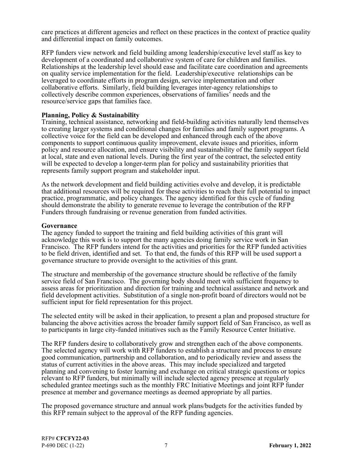care practices at different agencies and reflect on these practices in the context of practice quality and differential impact on family outcomes.

RFP funders view network and field building among leadership/executive level staff as key to development of a coordinated and collaborative system of care for children and families. Relationships at the leadership level should ease and facilitate care coordination and agreements on quality service implementation for the field. Leadership/executive relationships can be leveraged to coordinate efforts in program design, service implementation and other collaborative efforts. Similarly, field building leverages inter-agency relationships to collectively describe common experiences, observations of families' needs and the resource/service gaps that families face.

#### **Planning, Policy & Sustainability**

Training, technical assistance, networking and field-building activities naturally lend themselves to creating larger systems and conditional changes for families and family support programs. A collective voice for the field can be developed and enhanced through each of the above components to support continuous quality improvement, elevate issues and priorities, inform policy and resource allocation, and ensure visibility and sustainability of the family support field at local, state and even national levels. During the first year of the contract, the selected entity will be expected to develop a longer-term plan for policy and sustainability priorities that represents family support program and stakeholder input.

As the network development and field building activities evolve and develop, it is predictable that additional resources will be required for these activities to reach their full potential to impact practice, programmatic, and policy changes. The agency identified for this cycle of funding should demonstrate the ability to generate revenue to leverage the contribution of the RFP Funders through fundraising or revenue generation from funded activities.

#### **Governance**

The agency funded to support the training and field building activities of this grant will acknowledge this work is to support the many agencies doing family service work in San Francisco. The RFP funders intend for the activities and priorities for the RFP funded activities to be field driven, identified and set. To that end, the funds of this RFP will be used support a governance structure to provide oversight to the activities of this grant.

The structure and membership of the governance structure should be reflective of the family service field of San Francisco. The governing body should meet with sufficient frequency to assess areas for prioritization and direction for training and technical assistance and network and field development activities. Substitution of a single non-profit board of directors would not be sufficient input for field representation for this project.

The selected entity will be asked in their application, to present a plan and proposed structure for balancing the above activities across the broader family support field of San Francisco, as well as to participants in large city-funded initiatives such as the Family Resource Center Initiative.

The RFP funders desire to collaboratively grow and strengthen each of the above components. The selected agency will work with RFP funders to establish a structure and process to ensure good communication, partnership and collaboration, and to periodically review and assess the status of current activities in the above areas. This may include specialized and targeted planning and convening to foster learning and exchange on critical strategic questions or topics relevant to RFP funders, but minimally will include selected agency presence at regularly scheduled grantee meetings such as the monthly FRC Initiative Meetings and joint RFP funder presence at member and governance meetings as deemed appropriate by all parties.

The proposed governance structure and annual work plans/budgets for the activities funded by this RFP remain subject to the approval of the RFP funding agencies.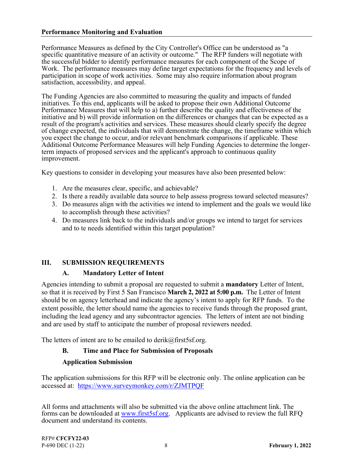#### **Performance Monitoring and Evaluation**

Performance Measures as defined by the City Controller's Office can be understood as "a specific quantitative measure of an activity or outcome." The RFP funders will negotiate with the successful bidder to identify performance measures for each component of the Scope of Work. The performance measures may define target expectations for the frequency and levels of participation in scope of work activities. Some may also require information about program satisfaction, accessibility, and appeal.

The Funding Agencies are also committed to measuring the quality and impacts of funded initiatives. To this end, applicants will be asked to propose their own Additional Outcome Performance Measures that will help to a) further describe the quality and effectiveness of the initiative and b) will provide information on the differences or changes that can be expected as a result of the program's activities and services. These measures should clearly specify the degree of change expected, the individuals that will demonstrate the change, the timeframe within which you expect the change to occur, and/or relevant benchmark comparisons if applicable. These Additional Outcome Performance Measures will help Funding Agencies to determine the longerterm impacts of proposed services and the applicant's approach to continuous quality improvement.

Key questions to consider in developing your measures have also been presented below:

- 1. Are the measures clear, specific, and achievable?
- 2. Is there a readily available data source to help assess progress toward selected measures?
- 3. Do measures align with the activities we intend to implement and the goals we would like to accomplish through these activities?
- 4. Do measures link back to the individuals and/or groups we intend to target for services and to te needs identified within this target population?

## **III. SUBMISSION REQUIREMENTS**

#### **A. Mandatory Letter of Intent**

Agencies intending to submit a proposal are requested to submit a **mandatory** Letter of Intent, so that it is received by First 5 San Francisco **March 2, 2022 at 5:00 p.m.** The Letter of Intent should be on agency letterhead and indicate the agency's intent to apply for RFP funds. To the extent possible, the letter should name the agencies to receive funds through the proposed grant, including the lead agency and any subcontractor agencies. The letters of intent are not binding and are used by staff to anticipate the number of proposal reviewers needed.

The letters of intent are to be emailed to derik@first5sf.org.

#### **B. Time and Place for Submission of Proposals**

#### **Application Submission**

The application submissions for this RFP will be electronic only. The online application can be accessed at: https://www.surveymonkey.com/r/ZJMTPQF

All forms and attachments will also be submitted via the above online attachment link. The forms can be downloaded at www.first5sf.org. Applicants are advised to review the full RFQ document and understand its contents.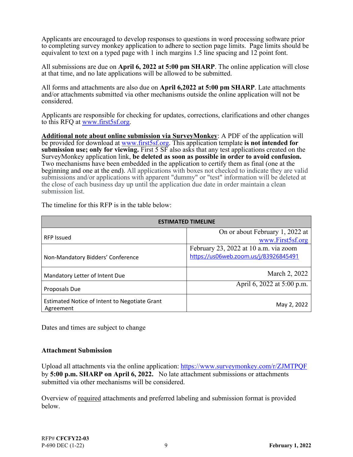Applicants are encouraged to develop responses to questions in word processing software prior to completing survey monkey application to adhere to section page limits. Page limits should be equivalent to text on a typed page with 1 inch margins 1.5 line spacing and 12 point font.

All submissions are due on **April 6, 2022 at 5:00 pm SHARP**. The online application will close at that time, and no late applications will be allowed to be submitted.

All forms and attachments are also due on **April 6,2022 at 5:00 pm SHARP**. Late attachments and/or attachments submitted via other mechanisms outside the online application will not be considered.

Applicants are responsible for checking for updates, corrections, clarifications and other changes to this RFQ at www.first5sf.org.

**Additional note about online submission via SurveyMonkey**: A PDF of the application will be provided for download at www.first5sf.org. This application template **is not intended for submission use; only for viewing.** First 5 SF also asks that any test applications created on the SurveyMonkey application link, **be deleted as soon as possible in order to avoid confusion.**  Two mechanisms have been embedded in the application to certify them as final (one at the beginning and one at the end). All applications with boxes not checked to indicate they are valid submissions and/or applications with apparent "dummy" or "test" information will be deleted at the close of each business day up until the application due date in order maintain a clean submission list.

| <b>ESTIMATED TIMELINE</b>                     |                                       |
|-----------------------------------------------|---------------------------------------|
|                                               | On or about February 1, 2022 at       |
| <b>RFP Issued</b>                             | www.First5sf.org                      |
|                                               | February 23, 2022 at 10 a.m. via zoom |
| Non-Mandatory Bidders' Conference             | https://us06web.zoom.us/j/83926845491 |
|                                               |                                       |
| Mandatory Letter of Intent Due                | March 2, 2022                         |
|                                               | April 6, 2022 at 5:00 p.m.            |
| Proposals Due                                 |                                       |
| Estimated Notice of Intent to Negotiate Grant | May 2, 2022                           |
| Agreement                                     |                                       |

The timeline for this RFP is in the table below:

Dates and times are subject to change

#### **Attachment Submission**

Upload all attachments via the online application: https://www.surveymonkey.com/r/ZJMTPQF by **5:00 p.m. SHARP on April 6, 2022.** No late attachment submissions or attachments submitted via other mechanisms will be considered.

Overview of required attachments and preferred labeling and submission format is provided below.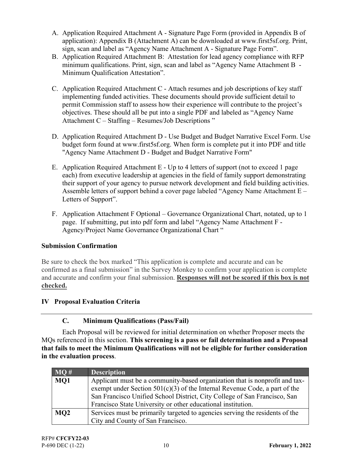- A. Application Required Attachment A Signature Page Form (provided in Appendix B of application): Appendix B (Attachment A) can be downloaded at www.first5sf.org. Print, sign, scan and label as "Agency Name Attachment A - Signature Page Form".
- B. Application Required Attachment B: Attestation for lead agency compliance with RFP minimum qualifications. Print, sign, scan and label as "Agency Name Attachment B - Minimum Qualification Attestation".
- C. Application Required Attachment C Attach resumes and job descriptions of key staff implementing funded activities. These documents should provide sufficient detail to permit Commission staff to assess how their experience will contribute to the project's objectives. These should all be put into a single PDF and labeled as "Agency Name Attachment C – Staffing – Resumes/Job Descriptions "
- D. Application Required Attachment D Use Budget and Budget Narrative Excel Form. Use budget form found at www.first5sf.org. When form is complete put it into PDF and title "Agency Name Attachment D - Budget and Budget Narrative Form"
- E. Application Required Attachment E Up to 4 letters of support (not to exceed 1 page each) from executive leadership at agencies in the field of family support demonstrating their support of your agency to pursue network development and field building activities. Assemble letters of support behind a cover page labeled "Agency Name Attachment E – Letters of Support".
- F. Application Attachment F Optional Governance Organizational Chart, notated, up to 1 page. If submitting, put into pdf form and label "Agency Name Attachment F - Agency/Project Name Governance Organizational Chart "

# **Submission Confirmation**

Be sure to check the box marked "This application is complete and accurate and can be confirmed as a final submission" in the Survey Monkey to confirm your application is complete and accurate and confirm your final submission. **Responses will not be scored if this box is not checked.**

# **IV Proposal Evaluation Criteria**

# **C. Minimum Qualifications (Pass/Fail)**

 Each Proposal will be reviewed for initial determination on whether Proposer meets the MQs referenced in this section. **This screening is a pass or fail determination and a Proposal that fails to meet the Minimum Qualifications will not be eligible for further consideration in the evaluation process**.

| $\overline{\mathbf{M}}\mathbf{Q}$ # | <b>Description</b>                                                                                                                                                                                                                                                                                       |
|-------------------------------------|----------------------------------------------------------------------------------------------------------------------------------------------------------------------------------------------------------------------------------------------------------------------------------------------------------|
| MQ1                                 | Applicant must be a community-based organization that is nonprofit and tax-<br>exempt under Section $501(c)(3)$ of the Internal Revenue Code, a part of the<br>San Francisco Unified School District, City College of San Francisco, San<br>Francisco State University or other educational institution. |
| MQ <sub>2</sub>                     | Services must be primarily targeted to agencies serving the residents of the<br>City and County of San Francisco.                                                                                                                                                                                        |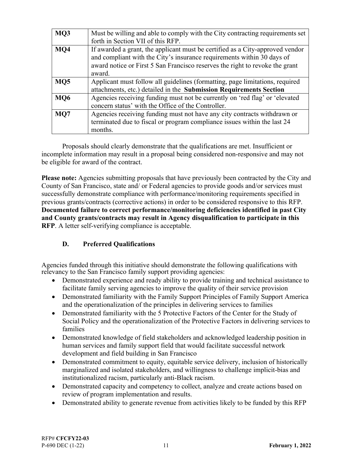| MQ3             | Must be willing and able to comply with the City contracting requirements set<br>forth in Section VII of this RFP.                                                                                                                                |
|-----------------|---------------------------------------------------------------------------------------------------------------------------------------------------------------------------------------------------------------------------------------------------|
| MQ4             | If awarded a grant, the applicant must be certified as a City-approved vendor<br>and compliant with the City's insurance requirements within 30 days of<br>award notice or First 5 San Francisco reserves the right to revoke the grant<br>award. |
| M <sub>05</sub> | Applicant must follow all guidelines (formatting, page limitations, required<br>attachments, etc.) detailed in the Submission Requirements Section                                                                                                |
| <b>MO6</b>      | Agencies receiving funding must not be currently on 'red flag' or 'elevated<br>concern status' with the Office of the Controller.                                                                                                                 |
| MQ7             | Agencies receiving funding must not have any city contracts withdrawn or<br>terminated due to fiscal or program compliance issues within the last 24<br>months.                                                                                   |

 Proposals should clearly demonstrate that the qualifications are met. Insufficient or incomplete information may result in a proposal being considered non-responsive and may not be eligible for award of the contract.

**Please note:** Agencies submitting proposals that have previously been contracted by the City and County of San Francisco, state and/ or Federal agencies to provide goods and/or services must successfully demonstrate compliance with performance/monitoring requirements specified in previous grants/contracts (corrective actions) in order to be considered responsive to this RFP. **Documented failure to correct performance/monitoring deficiencies identified in past City and County grants/contracts may result in Agency disqualification to participate in this RFP**. A letter self-verifying compliance is acceptable.

# **D. Preferred Qualifications**

Agencies funded through this initiative should demonstrate the following qualifications with relevancy to the San Francisco family support providing agencies:

- Demonstrated experience and ready ability to provide training and technical assistance to facilitate family serving agencies to improve the quality of their service provision
- Demonstrated familiarity with the Family Support Principles of Family Support America and the operationalization of the principles in delivering services to families
- Demonstrated familiarity with the 5 Protective Factors of the Center for the Study of Social Policy and the operationalization of the Protective Factors in delivering services to families
- Demonstrated knowledge of field stakeholders and acknowledged leadership position in human services and family support field that would facilitate successful network development and field building in San Francisco
- Demonstrated commitment to equity, equitable service delivery, inclusion of historically marginalized and isolated stakeholders, and willingness to challenge implicit-bias and institutionalized racism, particularly anti-Black racism.
- Demonstrated capacity and competency to collect, analyze and create actions based on review of program implementation and results.
- Demonstrated ability to generate revenue from activities likely to be funded by this RFP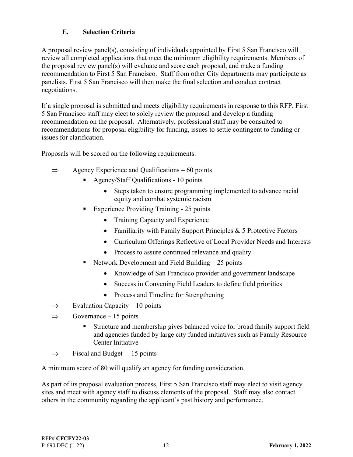## **E. Selection Criteria**

A proposal review panel(s), consisting of individuals appointed by First 5 San Francisco will review all completed applications that meet the minimum eligibility requirements. Members of the proposal review panel(s) will evaluate and score each proposal, and make a funding recommendation to First 5 San Francisco. Staff from other City departments may participate as panelists. First 5 San Francisco will then make the final selection and conduct contract negotiations.

If a single proposal is submitted and meets eligibility requirements in response to this RFP, First 5 San Francisco staff may elect to solely review the proposal and develop a funding recommendation on the proposal. Alternatively, professional staff may be consulted to recommendations for proposal eligibility for funding, issues to settle contingent to funding or issues for clarification.

Proposals will be scored on the following requirements:

- $\Rightarrow$  Agency Experience and Qualifications 60 points
	- Agency/Staff Qualifications 10 points
		- Steps taken to ensure programming implemented to advance racial equity and combat systemic racism
	- Experience Providing Training 25 points
		- Training Capacity and Experience
		- Familiarity with Family Support Principles  $& 5$  Protective Factors
		- Curriculum Offerings Reflective of Local Provider Needs and Interests
		- Process to assure continued relevance and quality
	- Network Development and Field Building  $-25$  points
		- Knowledge of San Francisco provider and government landscape
		- Success in Convening Field Leaders to define field priorities
		- Process and Timeline for Strengthening
- $\implies$  Evaluation Capacity 10 points
- $\implies$  Governance 15 points
	- Structure and membership gives balanced voice for broad family support field and agencies funded by large city funded initiatives such as Family Resource Center Initiative
- $\Rightarrow$  Fiscal and Budget 15 points

A minimum score of 80 will qualify an agency for funding consideration.

As part of its proposal evaluation process, First 5 San Francisco staff may elect to visit agency sites and meet with agency staff to discuss elements of the proposal. Staff may also contact others in the community regarding the applicant's past history and performance.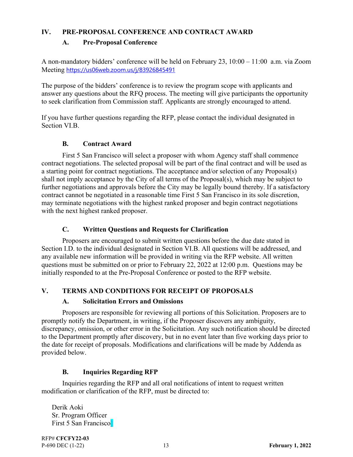#### **IV. PRE-PROPOSAL CONFERENCE AND CONTRACT AWARD**

#### **A. Pre-Proposal Conference**

A non-mandatory bidders' conference will be held on February 23, 10:00 – 11:00 a.m. via Zoom Meeting https://us06web.zoom.us/j/83926845491

The purpose of the bidders' conference is to review the program scope with applicants and answer any questions about the RFQ process. The meeting will give participants the opportunity to seek clarification from Commission staff. Applicants are strongly encouraged to attend.

If you have further questions regarding the RFP, please contact the individual designated in Section VI.B.

#### **B. Contract Award**

 First 5 San Francisco will select a proposer with whom Agency staff shall commence contract negotiations. The selected proposal will be part of the final contract and will be used as a starting point for contract negotiations. The acceptance and/or selection of any Proposal(s) shall not imply acceptance by the City of all terms of the Proposal(s), which may be subject to further negotiations and approvals before the City may be legally bound thereby. If a satisfactory contract cannot be negotiated in a reasonable time First 5 San Francisco in its sole discretion, may terminate negotiations with the highest ranked proposer and begin contract negotiations with the next highest ranked proposer.

## **C. Written Questions and Requests for Clarification**

 Proposers are encouraged to submit written questions before the due date stated in Section I.D. to the individual designated in Section VI.B. All questions will be addressed, and any available new information will be provided in writing via the RFP website. All written questions must be submitted on or prior to February 22, 2022 at 12:00 p.m. Questions may be initially responded to at the Pre-Proposal Conference or posted to the RFP website.

## **V. TERMS AND CONDITIONS FOR RECEIPT OF PROPOSALS**

#### **A. Solicitation Errors and Omissions**

 Proposers are responsible for reviewing all portions of this Solicitation. Proposers are to promptly notify the Department, in writing, if the Proposer discovers any ambiguity, discrepancy, omission, or other error in the Solicitation. Any such notification should be directed to the Department promptly after discovery, but in no event later than five working days prior to the date for receipt of proposals. Modifications and clarifications will be made by Addenda as provided below.

#### **B. Inquiries Regarding RFP**

 Inquiries regarding the RFP and all oral notifications of intent to request written modification or clarification of the RFP, must be directed to:

Derik Aoki Sr. Program Officer First 5 San Francisco]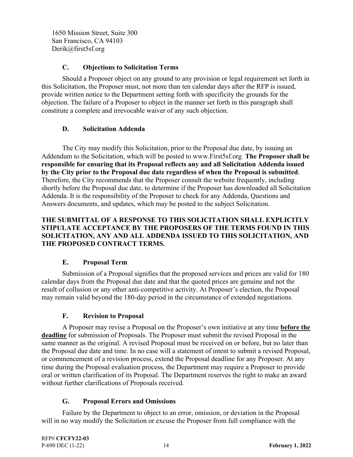1650 Mission Street, Suite 300 San Francisco, CA 94103 Derik@first5sf.org

#### **C. Objections to Solicitation Terms**

 Should a Proposer object on any ground to any provision or legal requirement set forth in this Solicitation, the Proposer must, not more than ten calendar days after the RFP is issued, provide written notice to the Department setting forth with specificity the grounds for the objection. The failure of a Proposer to object in the manner set forth in this paragraph shall constitute a complete and irrevocable waiver of any such objection.

#### **D. Solicitation Addenda**

 The City may modify this Solicitation, prior to the Proposal due date, by issuing an Addendum to the Solicitation, which will be posted to www.First5sf.org. **The Proposer shall be responsible for ensuring that its Proposal reflects any and all Solicitation Addenda issued by the City prior to the Proposal due date regardless of when the Proposal is submitted**. Therefore, the City recommends that the Proposer consult the website frequently, including shortly before the Proposal due date, to determine if the Proposer has downloaded all Solicitation Addenda. It is the responsibility of the Proposer to check for any Addenda, Questions and Answers documents, and updates, which may be posted to the subject Solicitation.

#### **THE SUBMITTAL OF A RESPONSE TO THIS SOLICITATION SHALL EXPLICITLY STIPULATE ACCEPTANCE BY THE PROPOSERS OF THE TERMS FOUND IN THIS SOLICITATION, ANY AND ALL ADDENDA ISSUED TO THIS SOLICITATION, AND THE PROPOSED CONTRACT TERMS.**

## **E. Proposal Term**

 Submission of a Proposal signifies that the proposed services and prices are valid for 180 calendar days from the Proposal due date and that the quoted prices are genuine and not the result of collusion or any other anti-competitive activity. At Proposer's election, the Proposal may remain valid beyond the 180-day period in the circumstance of extended negotiations.

## **F. Revision to Proposal**

 A Proposer may revise a Proposal on the Proposer's own initiative at any time **before the deadline** for submission of Proposals. The Proposer must submit the revised Proposal in the same manner as the original. A revised Proposal must be received on or before, but no later than the Proposal due date and time. In no case will a statement of intent to submit a revised Proposal, or commencement of a revision process, extend the Proposal deadline for any Proposer. At any time during the Proposal evaluation process, the Department may require a Proposer to provide oral or written clarification of its Proposal. The Department reserves the right to make an award without further clarifications of Proposals received.

#### **G. Proposal Errors and Omissions**

 Failure by the Department to object to an error, omission, or deviation in the Proposal will in no way modify the Solicitation or excuse the Proposer from full compliance with the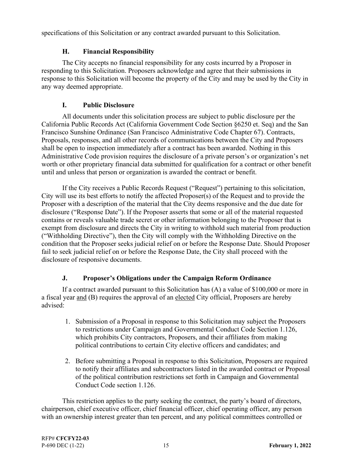specifications of this Solicitation or any contract awarded pursuant to this Solicitation.

## **H. Financial Responsibility**

 The City accepts no financial responsibility for any costs incurred by a Proposer in responding to this Solicitation. Proposers acknowledge and agree that their submissions in response to this Solicitation will become the property of the City and may be used by the City in any way deemed appropriate.

## **I. Public Disclosure**

 All documents under this solicitation process are subject to public disclosure per the California Public Records Act (California Government Code Section §6250 et. Seq) and the San Francisco Sunshine Ordinance (San Francisco Administrative Code Chapter 67). Contracts, Proposals, responses, and all other records of communications between the City and Proposers shall be open to inspection immediately after a contract has been awarded. Nothing in this Administrative Code provision requires the disclosure of a private person's or organization's net worth or other proprietary financial data submitted for qualification for a contract or other benefit until and unless that person or organization is awarded the contract or benefit.

 If the City receives a Public Records Request ("Request") pertaining to this solicitation, City will use its best efforts to notify the affected Proposer(s) of the Request and to provide the Proposer with a description of the material that the City deems responsive and the due date for disclosure ("Response Date"). If the Proposer asserts that some or all of the material requested contains or reveals valuable trade secret or other information belonging to the Proposer that is exempt from disclosure and directs the City in writing to withhold such material from production ("Withholding Directive"), then the City will comply with the Withholding Directive on the condition that the Proposer seeks judicial relief on or before the Response Date. Should Proposer fail to seek judicial relief on or before the Response Date, the City shall proceed with the disclosure of responsive documents.

# **J. Proposer's Obligations under the Campaign Reform Ordinance**

 If a contract awarded pursuant to this Solicitation has (A) a value of \$100,000 or more in a fiscal year and (B) requires the approval of an elected City official, Proposers are hereby advised:

- 1. Submission of a Proposal in response to this Solicitation may subject the Proposers to restrictions under Campaign and Governmental Conduct Code Section 1.126, which prohibits City contractors, Proposers, and their affiliates from making political contributions to certain City elective officers and candidates; and
- 2. Before submitting a Proposal in response to this Solicitation, Proposers are required to notify their affiliates and subcontractors listed in the awarded contract or Proposal of the political contribution restrictions set forth in Campaign and Governmental Conduct Code section 1.126.

 This restriction applies to the party seeking the contract, the party's board of directors, chairperson, chief executive officer, chief financial officer, chief operating officer, any person with an ownership interest greater than ten percent, and any political committees controlled or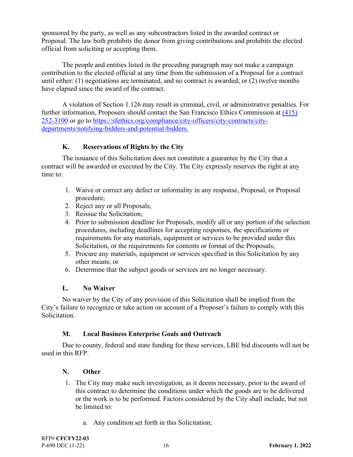sponsored by the party, as well as any subcontractors listed in the awarded contract or Proposal. The law both prohibits the donor from giving contributions and prohibits the elected official from soliciting or accepting them.

 The people and entities listed in the preceding paragraph may not make a campaign contribution to the elected official at any time from the submission of a Proposal for a contract until either: (1) negotiations are terminated, and no contract is awarded; or (2) twelve months have elapsed since the award of the contract.

 A violation of Section 1.126 may result in criminal, civil, or administrative penalties. For further information, Proposers should contact the San Francisco Ethics Commission at (415) 252-3100 or go to https://sfethics.org/compliance/city-officers/city-contracts/citydepartments/notifying-bidders-and-potential-bidders.

## **K. Reservations of Rights by the City**

 The issuance of this Solicitation does not constitute a guarantee by the City that a contract will be awarded or executed by the City. The City expressly reserves the right at any time to:

- 1. Waive or correct any defect or informality in any response, Proposal, or Proposal procedure;
- 2. Reject any or all Proposals;
- 3. Reissue the Solicitation;
- 4. Prior to submission deadline for Proposals, modify all or any portion of the selection procedures, including deadlines for accepting responses, the specifications or requirements for any materials, equipment or services to be provided under this Solicitation, or the requirements for contents or format of the Proposals;
- 5. Procure any materials, equipment or services specified in this Solicitation by any other means; or
- 6. Determine that the subject goods or services are no longer necessary.

## **L. No Waiver**

 No waiver by the City of any provision of this Solicitation shall be implied from the City's failure to recognize or take action on account of a Proposer's failure to comply with this Solicitation.

## **M. Local Business Enterprise Goals and Outreach**

 Due to county, federal and state funding for these services, LBE bid discounts will not be used in this RFP.

## **N. Other**

- 1. The City may make such investigation, as it deems necessary, prior to the award of this contract to determine the conditions under which the goods are to be delivered or the work is to be performed. Factors considered by the City shall include, but not be limited to:
	- a. Any condition set forth in this Solicitation;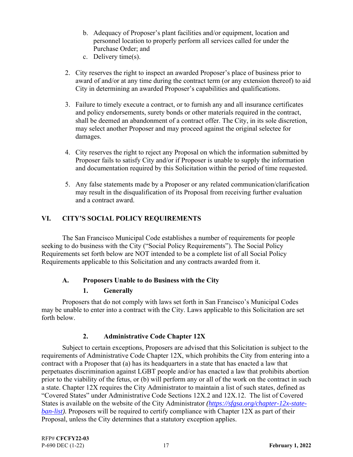- b. Adequacy of Proposer's plant facilities and/or equipment, location and personnel location to properly perform all services called for under the Purchase Order; and
- c. Delivery time(s).
- 2. City reserves the right to inspect an awarded Proposer's place of business prior to award of and/or at any time during the contract term (or any extension thereof) to aid City in determining an awarded Proposer's capabilities and qualifications.
- 3. Failure to timely execute a contract, or to furnish any and all insurance certificates and policy endorsements, surety bonds or other materials required in the contract, shall be deemed an abandonment of a contract offer. The City, in its sole discretion, may select another Proposer and may proceed against the original selectee for damages.
- 4. City reserves the right to reject any Proposal on which the information submitted by Proposer fails to satisfy City and/or if Proposer is unable to supply the information and documentation required by this Solicitation within the period of time requested.
- 5. Any false statements made by a Proposer or any related communication/clarification may result in the disqualification of its Proposal from receiving further evaluation and a contract award.

## **VI. CITY'S SOCIAL POLICY REQUIREMENTS**

 The San Francisco Municipal Code establishes a number of requirements for people seeking to do business with the City ("Social Policy Requirements"). The Social Policy Requirements set forth below are NOT intended to be a complete list of all Social Policy Requirements applicable to this Solicitation and any contracts awarded from it.

## **A. Proposers Unable to do Business with the City**

## **1. Generally**

 Proposers that do not comply with laws set forth in San Francisco's Municipal Codes may be unable to enter into a contract with the City. Laws applicable to this Solicitation are set forth below.

## **2. Administrative Code Chapter 12X**

 Subject to certain exceptions, Proposers are advised that this Solicitation is subject to the requirements of Administrative Code Chapter 12X, which prohibits the City from entering into a contract with a Proposer that (a) has its headquarters in a state that has enacted a law that perpetuates discrimination against LGBT people and/or has enacted a law that prohibits abortion prior to the viability of the fetus, or (b) will perform any or all of the work on the contract in such a state. Chapter 12X requires the City Administrator to maintain a list of such states, defined as "Covered States" under Administrative Code Sections 12X.2 and 12X.12. The list of Covered States is available on the website of the City Administrator *(https://sfgsa.org/chapter-12x-stateban-list).* Proposers will be required to certify compliance with Chapter 12X as part of their Proposal, unless the City determines that a statutory exception applies.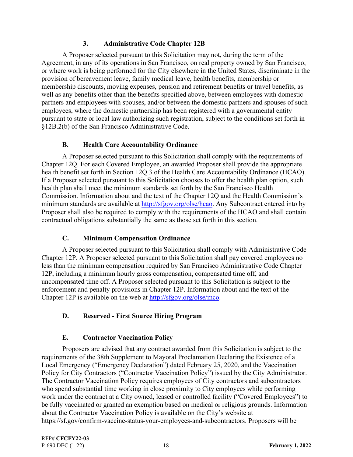#### **3. Administrative Code Chapter 12B**

 A Proposer selected pursuant to this Solicitation may not, during the term of the Agreement, in any of its operations in San Francisco, on real property owned by San Francisco, or where work is being performed for the City elsewhere in the United States, discriminate in the provision of bereavement leave, family medical leave, health benefits, membership or membership discounts, moving expenses, pension and retirement benefits or travel benefits, as well as any benefits other than the benefits specified above, between employees with domestic partners and employees with spouses, and/or between the domestic partners and spouses of such employees, where the domestic partnership has been registered with a governmental entity pursuant to state or local law authorizing such registration, subject to the conditions set forth in §12B.2(b) of the San Francisco Administrative Code.

## **B. Health Care Accountability Ordinance**

 A Proposer selected pursuant to this Solicitation shall comply with the requirements of Chapter 12Q. For each Covered Employee, an awarded Proposer shall provide the appropriate health benefit set forth in Section 12Q.3 of the Health Care Accountability Ordinance (HCAO). If a Proposer selected pursuant to this Solicitation chooses to offer the health plan option, such health plan shall meet the minimum standards set forth by the San Francisco Health Commission. Information about and the text of the Chapter 12Q and the Health Commission's minimum standards are available at http://sfgov.org/olse/hcao. Any Subcontract entered into by Proposer shall also be required to comply with the requirements of the HCAO and shall contain contractual obligations substantially the same as those set forth in this section.

## **C. Minimum Compensation Ordinance**

 A Proposer selected pursuant to this Solicitation shall comply with Administrative Code Chapter 12P. A Proposer selected pursuant to this Solicitation shall pay covered employees no less than the minimum compensation required by San Francisco Administrative Code Chapter 12P, including a minimum hourly gross compensation, compensated time off, and uncompensated time off. A Proposer selected pursuant to this Solicitation is subject to the enforcement and penalty provisions in Chapter 12P. Information about and the text of the Chapter 12P is available on the web at http://sfgov.org/olse/mco.

## **D. Reserved - First Source Hiring Program**

## **E. Contractor Vaccination Policy**

 Proposers are advised that any contract awarded from this Solicitation is subject to the requirements of the 38th Supplement to Mayoral Proclamation Declaring the Existence of a Local Emergency ("Emergency Declaration") dated February 25, 2020, and the Vaccination Policy for City Contractors ("Contractor Vaccination Policy") issued by the City Administrator. The Contractor Vaccination Policy requires employees of City contractors and subcontractors who spend substantial time working in close proximity to City employees while performing work under the contract at a City owned, leased or controlled facility ("Covered Employees") to be fully vaccinated or granted an exemption based on medical or religious grounds. Information about the Contractor Vaccination Policy is available on the City's website at https://sf.gov/confirm-vaccine-status-your-employees-and-subcontractors. Proposers will be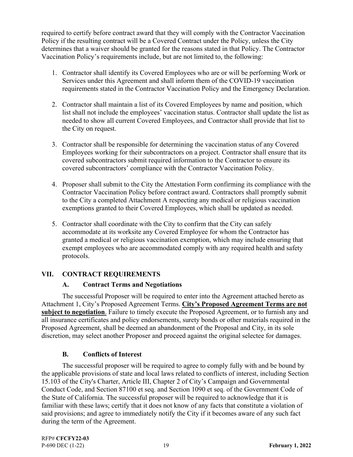required to certify before contract award that they will comply with the Contractor Vaccination Policy if the resulting contract will be a Covered Contract under the Policy, unless the City determines that a waiver should be granted for the reasons stated in that Policy. The Contractor Vaccination Policy's requirements include, but are not limited to, the following:

- 1. Contractor shall identify its Covered Employees who are or will be performing Work or Services under this Agreement and shall inform them of the COVID-19 vaccination requirements stated in the Contractor Vaccination Policy and the Emergency Declaration.
- 2. Contractor shall maintain a list of its Covered Employees by name and position, which list shall not include the employees' vaccination status. Contractor shall update the list as needed to show all current Covered Employees, and Contractor shall provide that list to the City on request.
- 3. Contractor shall be responsible for determining the vaccination status of any Covered Employees working for their subcontractors on a project. Contractor shall ensure that its covered subcontractors submit required information to the Contractor to ensure its covered subcontractors' compliance with the Contractor Vaccination Policy.
- 4. Proposer shall submit to the City the Attestation Form confirming its compliance with the Contractor Vaccination Policy before contract award. Contractors shall promptly submit to the City a completed Attachment A respecting any medical or religious vaccination exemptions granted to their Covered Employees, which shall be updated as needed.
- 5. Contractor shall coordinate with the City to confirm that the City can safely accommodate at its worksite any Covered Employee for whom the Contractor has granted a medical or religious vaccination exemption, which may include ensuring that exempt employees who are accommodated comply with any required health and safety protocols.

## **VII. CONTRACT REQUIREMENTS**

## **A. Contract Terms and Negotiations**

 The successful Proposer will be required to enter into the Agreement attached hereto as Attachment 1, City's Proposed Agreement Terms. **City's Proposed Agreement Terms are not subject to negotiation**. Failure to timely execute the Proposed Agreement, or to furnish any and all insurance certificates and policy endorsements, surety bonds or other materials required in the Proposed Agreement, shall be deemed an abandonment of the Proposal and City, in its sole discretion, may select another Proposer and proceed against the original selectee for damages.

## **B. Conflicts of Interest**

 The successful proposer will be required to agree to comply fully with and be bound by the applicable provisions of state and local laws related to conflicts of interest, including Section 15.103 of the City's Charter, Article III, Chapter 2 of City's Campaign and Governmental Conduct Code, and Section 87100 et seq. and Section 1090 et seq. of the Government Code of the State of California. The successful proposer will be required to acknowledge that it is familiar with these laws; certify that it does not know of any facts that constitute a violation of said provisions; and agree to immediately notify the City if it becomes aware of any such fact during the term of the Agreement.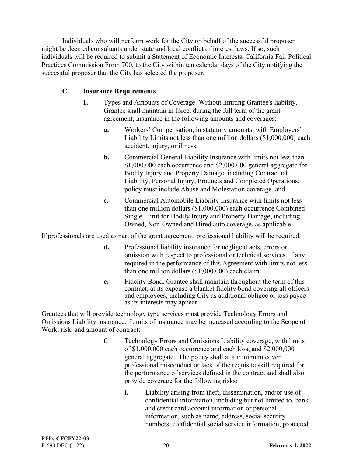Individuals who will perform work for the City on behalf of the successful proposer might be deemed consultants under state and local conflict of interest laws. If so, such individuals will be required to submit a Statement of Economic Interests, California Fair Political Practices Commission Form 700, to the City within ten calendar days of the City notifying the successful proposer that the City has selected the proposer.

#### **C. Insurance Requirements**

- **1.** Types and Amounts of Coverage. Without limiting Grantee's liability, Grantee shall maintain in force, during the full term of the grant agreement, insurance in the following amounts and coverages:
	- **a.** Workers' Compensation, in statutory amounts, with Employers' Liability Limits not less than one million dollars (\$1,000,000) each accident, injury, or illness.
	- **b.** Commercial General Liability Insurance with limits not less than \$1,000,000 each occurrence and \$2,000,000 general aggregate for Bodily Injury and Property Damage, including Contractual Liability, Personal Injury, Products and Completed Operations; policy must include Abuse and Molestation coverage, and
	- **c.** Commercial Automobile Liability Insurance with limits not less than one million dollars (\$1,000,000) each occurrence Combined Single Limit for Bodily Injury and Property Damage, including Owned, Non-Owned and Hired auto coverage, as applicable.

If professionals are used as part of the grant agreement, professional liability will be required.

- **d.** Professional liability insurance for negligent acts, errors or omission with respect to professional or technical services, if any, required in the performance of this Agreement with limits not less than one million dollars (\$1,000,000) each claim.
- **e.** Fidelity Bond. Grantee shall maintain throughout the term of this contract, at its expense a blanket fidelity bond covering all officers and employees, including City as additional obligee or loss payee as its interests may appear.

Grantees that will provide technology type services must provide Technology Errors and Omissions Liability insurance. Limits of insurance may be increased according to the Scope of Work, risk, and amount of contract:

- **f.** Technology Errors and Omissions Liability coverage, with limits of \$1,000,000 each occurrence and each loss, and \$2,000,000 general aggregate. The policy shall at a minimum cover professional misconduct or lack of the requisite skill required for the performance of services defined in the contract and shall also provide coverage for the following risks:
	- **i.** Liability arising from theft, dissemination, and/or use of confidential information, including but not limited to, bank and credit card account information or personal information, such as name, address, social security numbers, confidential social service information, protected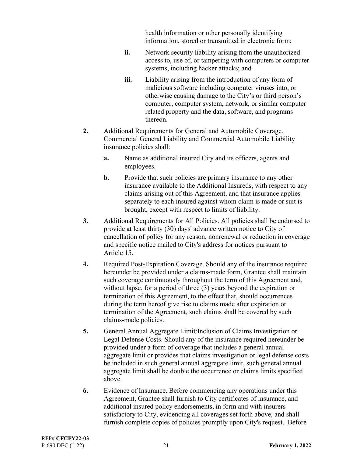health information or other personally identifying information, stored or transmitted in electronic form;

- **ii.** Network security liability arising from the unauthorized access to, use of, or tampering with computers or computer systems, including hacker attacks; and
- **iii.** Liability arising from the introduction of any form of malicious software including computer viruses into, or otherwise causing damage to the City's or third person's computer, computer system, network, or similar computer related property and the data, software, and programs thereon.
- **2.** Additional Requirements for General and Automobile Coverage. Commercial General Liability and Commercial Automobile Liability insurance policies shall:
	- **a.** Name as additional insured City and its officers, agents and employees.
	- **b.** Provide that such policies are primary insurance to any other insurance available to the Additional Insureds, with respect to any claims arising out of this Agreement, and that insurance applies separately to each insured against whom claim is made or suit is brought, except with respect to limits of liability.
- **3.** Additional Requirements for All Policies. All policies shall be endorsed to provide at least thirty (30) days' advance written notice to City of cancellation of policy for any reason, nonrenewal or reduction in coverage and specific notice mailed to City's address for notices pursuant to Article 15.
- **4.** Required Post-Expiration Coverage. Should any of the insurance required hereunder be provided under a claims-made form, Grantee shall maintain such coverage continuously throughout the term of this Agreement and, without lapse, for a period of three (3) years beyond the expiration or termination of this Agreement, to the effect that, should occurrences during the term hereof give rise to claims made after expiration or termination of the Agreement, such claims shall be covered by such claims-made policies.
- **5.** General Annual Aggregate Limit/Inclusion of Claims Investigation or Legal Defense Costs. Should any of the insurance required hereunder be provided under a form of coverage that includes a general annual aggregate limit or provides that claims investigation or legal defense costs be included in such general annual aggregate limit, such general annual aggregate limit shall be double the occurrence or claims limits specified above.
- **6.** Evidence of Insurance. Before commencing any operations under this Agreement, Grantee shall furnish to City certificates of insurance, and additional insured policy endorsements, in form and with insurers satisfactory to City, evidencing all coverages set forth above, and shall furnish complete copies of policies promptly upon City's request. Before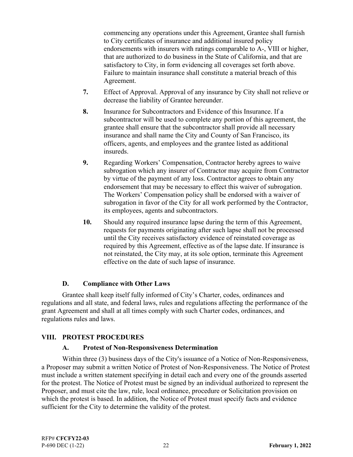commencing any operations under this Agreement, Grantee shall furnish to City certificates of insurance and additional insured policy endorsements with insurers with ratings comparable to A-, VIII or higher, that are authorized to do business in the State of California, and that are satisfactory to City, in form evidencing all coverages set forth above. Failure to maintain insurance shall constitute a material breach of this Agreement.

- **7.** Effect of Approval. Approval of any insurance by City shall not relieve or decrease the liability of Grantee hereunder.
- **8.** Insurance for Subcontractors and Evidence of this Insurance. If a subcontractor will be used to complete any portion of this agreement, the grantee shall ensure that the subcontractor shall provide all necessary insurance and shall name the City and County of San Francisco, its officers, agents, and employees and the grantee listed as additional insureds.
- **9.** Regarding Workers' Compensation, Contractor hereby agrees to waive subrogation which any insurer of Contractor may acquire from Contractor by virtue of the payment of any loss. Contractor agrees to obtain any endorsement that may be necessary to effect this waiver of subrogation. The Workers' Compensation policy shall be endorsed with a waiver of subrogation in favor of the City for all work performed by the Contractor, its employees, agents and subcontractors.
- **10.** Should any required insurance lapse during the term of this Agreement, requests for payments originating after such lapse shall not be processed until the City receives satisfactory evidence of reinstated coverage as required by this Agreement, effective as of the lapse date. If insurance is not reinstated, the City may, at its sole option, terminate this Agreement effective on the date of such lapse of insurance.

#### **D. Compliance with Other Laws**

 Grantee shall keep itself fully informed of City's Charter, codes, ordinances and regulations and all state, and federal laws, rules and regulations affecting the performance of the grant Agreement and shall at all times comply with such Charter codes, ordinances, and regulations rules and laws.

#### **VIII. PROTEST PROCEDURES**

#### **A. Protest of Non-Responsiveness Determination**

 Within three (3) business days of the City's issuance of a Notice of Non-Responsiveness, a Proposer may submit a written Notice of Protest of Non-Responsiveness. The Notice of Protest must include a written statement specifying in detail each and every one of the grounds asserted for the protest. The Notice of Protest must be signed by an individual authorized to represent the Proposer, and must cite the law, rule, local ordinance, procedure or Solicitation provision on which the protest is based. In addition, the Notice of Protest must specify facts and evidence sufficient for the City to determine the validity of the protest.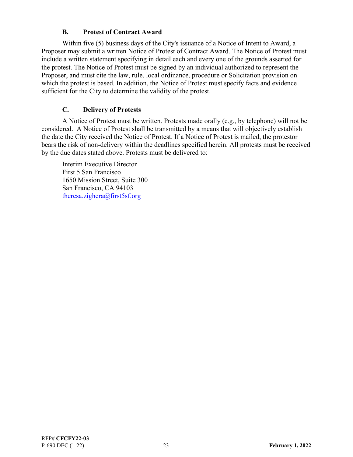#### **B. Protest of Contract Award**

 Within five (5) business days of the City's issuance of a Notice of Intent to Award, a Proposer may submit a written Notice of Protest of Contract Award. The Notice of Protest must include a written statement specifying in detail each and every one of the grounds asserted for the protest. The Notice of Protest must be signed by an individual authorized to represent the Proposer, and must cite the law, rule, local ordinance, procedure or Solicitation provision on which the protest is based. In addition, the Notice of Protest must specify facts and evidence sufficient for the City to determine the validity of the protest.

## **C. Delivery of Protests**

 A Notice of Protest must be written. Protests made orally (e.g., by telephone) will not be considered. A Notice of Protest shall be transmitted by a means that will objectively establish the date the City received the Notice of Protest. If a Notice of Protest is mailed, the protestor bears the risk of non-delivery within the deadlines specified herein. All protests must be received by the due dates stated above. Protests must be delivered to:

Interim Executive Director First 5 San Francisco 1650 Mission Street, Suite 300 San Francisco, CA 94103 theresa.zighera@first5sf.org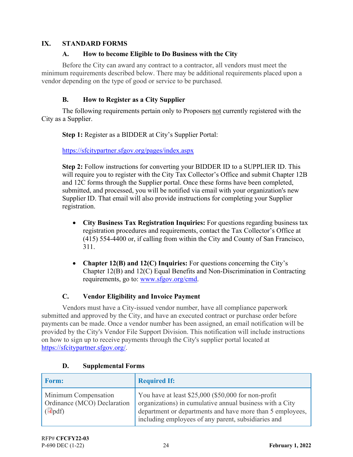#### **IX. STANDARD FORMS**

#### **A. How to become Eligible to Do Business with the City**

 Before the City can award any contract to a contractor, all vendors must meet the minimum requirements described below. There may be additional requirements placed upon a vendor depending on the type of good or service to be purchased.

#### **B. How to Register as a City Supplier**

 The following requirements pertain only to Proposers not currently registered with the City as a Supplier.

**Step 1:** Register as a BIDDER at City's Supplier Portal:

https://sfcitypartner.sfgov.org/pages/index.aspx

**Step 2:** Follow instructions for converting your BIDDER ID to a SUPPLIER ID. This will require you to register with the City Tax Collector's Office and submit Chapter 12B and 12C forms through the Supplier portal. Once these forms have been completed, submitted, and processed, you will be notified via email with your organization's new Supplier ID. That email will also provide instructions for completing your Supplier registration.

- **City Business Tax Registration Inquiries:** For questions regarding business tax registration procedures and requirements, contact the Tax Collector's Office at (415) 554-4400 or, if calling from within the City and County of San Francisco, 311.
- **Chapter 12(B) and 12(C) Inquiries:** For questions concerning the City's Chapter 12(B) and 12(C) Equal Benefits and Non-Discrimination in Contracting requirements, go to: www.sfgov.org/cmd.

# **C. Vendor Eligibility and Invoice Payment**

 Vendors must have a City-issued vendor number, have all compliance paperwork submitted and approved by the City, and have an executed contract or purchase order before payments can be made. Once a vendor number has been assigned, an email notification will be provided by the City's Vendor File Support Division. This notification will include instructions on how to sign up to receive payments through the City's supplier portal located at https://sfcitypartner.sfgov.org/.

| <b>Form:</b>                                                         | <b>Required If:</b>                                                                                                                                                                                                                 |
|----------------------------------------------------------------------|-------------------------------------------------------------------------------------------------------------------------------------------------------------------------------------------------------------------------------------|
| Minimum Compensation<br>Ordinance (MCO) Declaration<br>$(\Box \phi)$ | You have at least \$25,000 (\$50,000 for non-profit<br>organizations) in cumulative annual business with a City<br>department or departments and have more than 5 employees,<br>including employees of any parent, subsidiaries and |

## **D. Supplemental Forms**